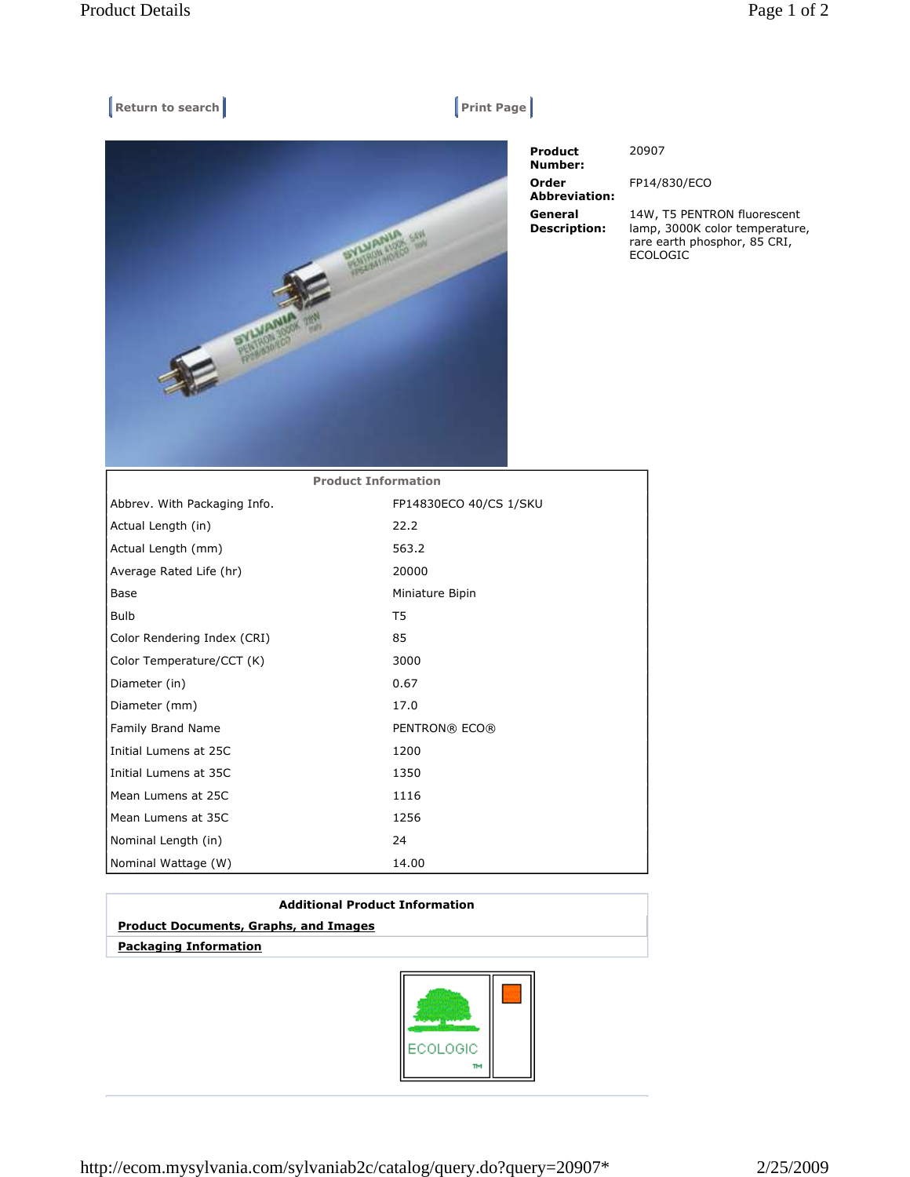## $[$  Return to search **Print Page**



 Product Number: Order Abbreviation: General Description:

20907

FP14/830/ECO

14W, T5 PENTRON fluorescent lamp, 3000K color temperature, rare earth phosphor, 85 CRI, ECOLOGIC

| <b>Product Information</b>   |                        |
|------------------------------|------------------------|
| Abbrev. With Packaging Info. | FP14830ECO 40/CS 1/SKU |
| Actual Length (in)           | 22.2                   |
| Actual Length (mm)           | 563.2                  |
| Average Rated Life (hr)      | 20000                  |
| Base                         | Miniature Bipin        |
| <b>Bulb</b>                  | T5                     |
| Color Rendering Index (CRI)  | 85                     |
| Color Temperature/CCT (K)    | 3000                   |
| Diameter (in)                | 0.67                   |
| Diameter (mm)                | 17.0                   |
| Family Brand Name            | PENTRON® ECO®          |
| Initial Lumens at 25C        | 1200                   |
| Initial Lumens at 35C        | 1350                   |
| Mean Lumens at 25C           | 1116                   |
| Mean Lumens at 35C           | 1256                   |
| Nominal Length (in)          | 24                     |
| Nominal Wattage (W)          | 14.00                  |

| <b>Additional Product Information</b>        |  |
|----------------------------------------------|--|
| <b>Product Documents, Graphs, and Images</b> |  |
| <b>Packaging Information</b>                 |  |